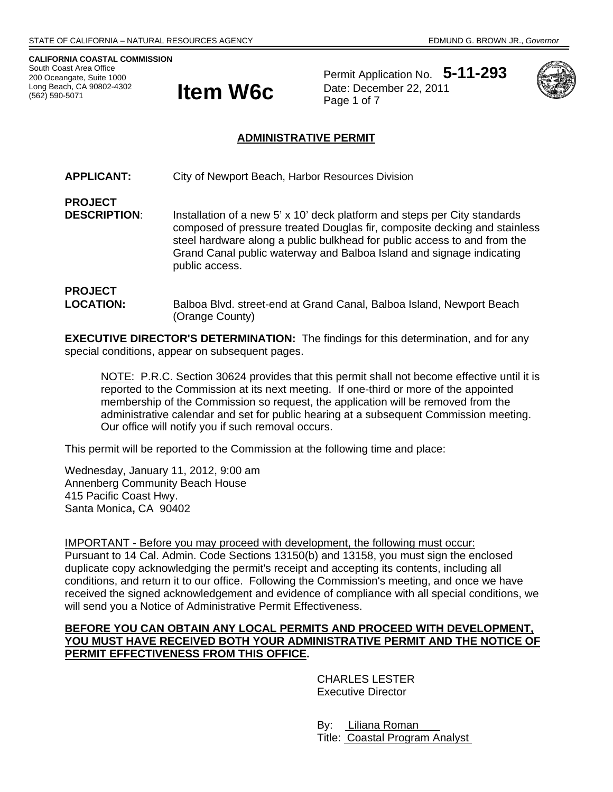**CALIFORNIA COASTAL COMMISSION**  South Coast Area Office 200 Oceangate, Suite 1000 Long Beach, CA 90802-4302 (562) 590-5071



Permit Application No. **5-11-293** Date: December 22, 2011



#### **ADMINISTRATIVE PERMIT**

**APPLICANT:** City of Newport Beach, Harbor Resources Division

**PROJECT DESCRIPTION:** Installation of a new 5' x 10' deck platform and steps per City standards composed of pressure treated Douglas fir, composite decking and stainless steel hardware along a public bulkhead for public access to and from the Grand Canal public waterway and Balboa Island and signage indicating public access.

#### **PROJECT LOCATION:** Balboa Blvd. street-end at Grand Canal, Balboa Island, Newport Beach (Orange County)

**EXECUTIVE DIRECTOR'S DETERMINATION:** The findings for this determination, and for any special conditions, appear on subsequent pages.

NOTE: P.R.C. Section 30624 provides that this permit shall not become effective until it is reported to the Commission at its next meeting. If one-third or more of the appointed membership of the Commission so request, the application will be removed from the administrative calendar and set for public hearing at a subsequent Commission meeting. Our office will notify you if such removal occurs.

This permit will be reported to the Commission at the following time and place:

Wednesday, January 11, 2012, 9:00 am Annenberg Community Beach House 415 Pacific Coast Hwy. Santa Monica**,** CA 90402

IMPORTANT - Before you may proceed with development, the following must occur: Pursuant to 14 Cal. Admin. Code Sections 13150(b) and 13158, you must sign the enclosed duplicate copy acknowledging the permit's receipt and accepting its contents, including all conditions, and return it to our office. Following the Commission's meeting, and once we have received the signed acknowledgement and evidence of compliance with all special conditions, we will send you a Notice of Administrative Permit Effectiveness.

#### **BEFORE YOU CAN OBTAIN ANY LOCAL PERMITS AND PROCEED WITH DEVELOPMENT, YOU MUST HAVE RECEIVED BOTH YOUR ADMINISTRATIVE PERMIT AND THE NOTICE OF PERMIT EFFECTIVENESS FROM THIS OFFICE.**

 CHARLES LESTER Executive Director

 By: Liliana Roman Title: Coastal Program Analyst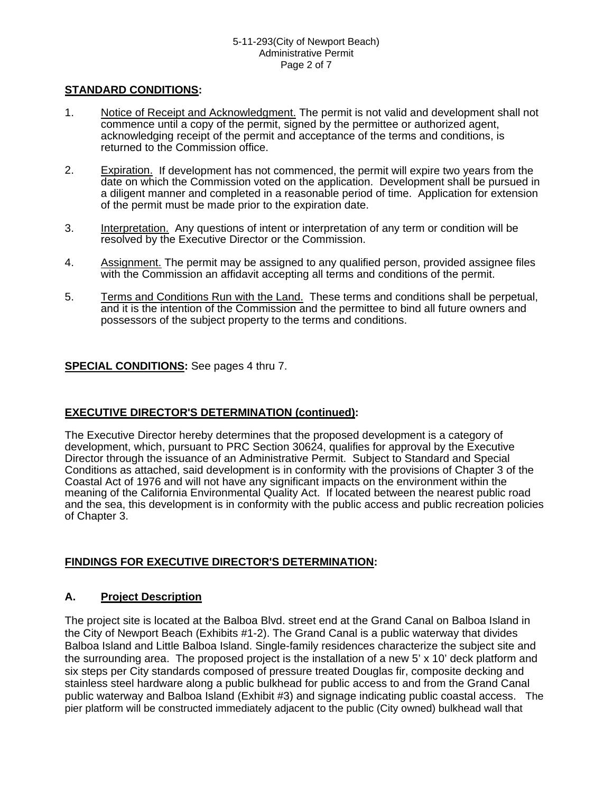# **STANDARD CONDITIONS:**

- 1. Notice of Receipt and Acknowledgment. The permit is not valid and development shall not commence until a copy of the permit, signed by the permittee or authorized agent, acknowledging receipt of the permit and acceptance of the terms and conditions, is returned to the Commission office.
- 2. Expiration. If development has not commenced, the permit will expire two years from the date on which the Commission voted on the application. Development shall be pursued in a diligent manner and completed in a reasonable period of time. Application for extension of the permit must be made prior to the expiration date.
- 3. Interpretation. Any questions of intent or interpretation of any term or condition will be resolved by the Executive Director or the Commission.
- 4. Assignment. The permit may be assigned to any qualified person, provided assignee files with the Commission an affidavit accepting all terms and conditions of the permit.
- 5. Terms and Conditions Run with the Land. These terms and conditions shall be perpetual, and it is the intention of the Commission and the permittee to bind all future owners and possessors of the subject property to the terms and conditions.

# **SPECIAL CONDITIONS:** See pages 4 thru 7.

# **EXECUTIVE DIRECTOR'S DETERMINATION (continued):**

The Executive Director hereby determines that the proposed development is a category of development, which, pursuant to PRC Section 30624, qualifies for approval by the Executive Director through the issuance of an Administrative Permit. Subject to Standard and Special Conditions as attached, said development is in conformity with the provisions of Chapter 3 of the Coastal Act of 1976 and will not have any significant impacts on the environment within the meaning of the California Environmental Quality Act. If located between the nearest public road and the sea, this development is in conformity with the public access and public recreation policies of Chapter 3.

#### **FINDINGS FOR EXECUTIVE DIRECTOR'S DETERMINATION:**

# **A. Project Description**

The project site is located at the Balboa Blvd. street end at the Grand Canal on Balboa Island in the City of Newport Beach (Exhibits #1-2). The Grand Canal is a public waterway that divides Balboa Island and Little Balboa Island. Single-family residences characterize the subject site and the surrounding area. The proposed project is the installation of a new 5' x 10' deck platform and six steps per City standards composed of pressure treated Douglas fir, composite decking and stainless steel hardware along a public bulkhead for public access to and from the Grand Canal public waterway and Balboa Island (Exhibit #3) and signage indicating public coastal access. The pier platform will be constructed immediately adjacent to the public (City owned) bulkhead wall that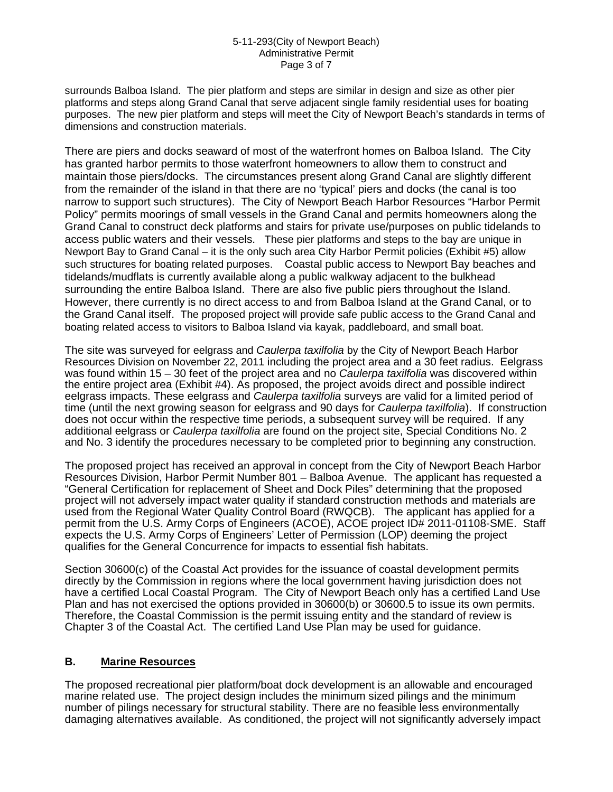#### 5-11-293(City of Newport Beach) Administrative Permit Page 3 of 7

surrounds Balboa Island. The pier platform and steps are similar in design and size as other pier platforms and steps along Grand Canal that serve adjacent single family residential uses for boating purposes. The new pier platform and steps will meet the City of Newport Beach's standards in terms of dimensions and construction materials.

There are piers and docks seaward of most of the waterfront homes on Balboa Island. The City has granted harbor permits to those waterfront homeowners to allow them to construct and maintain those piers/docks. The circumstances present along Grand Canal are slightly different from the remainder of the island in that there are no 'typical' piers and docks (the canal is too narrow to support such structures). The City of Newport Beach Harbor Resources "Harbor Permit Policy" permits moorings of small vessels in the Grand Canal and permits homeowners along the Grand Canal to construct deck platforms and stairs for private use/purposes on public tidelands to access public waters and their vessels. These pier platforms and steps to the bay are unique in Newport Bay to Grand Canal – it is the only such area City Harbor Permit policies (Exhibit #5) allow such structures for boating related purposes. Coastal public access to Newport Bay beaches and tidelands/mudflats is currently available along a public walkway adjacent to the bulkhead surrounding the entire Balboa Island. There are also five public piers throughout the Island. However, there currently is no direct access to and from Balboa Island at the Grand Canal, or to the Grand Canal itself. The proposed project will provide safe public access to the Grand Canal and boating related access to visitors to Balboa Island via kayak, paddleboard, and small boat.

The site was surveyed for eelgrass and *Caulerpa taxilfolia* by the City of Newport Beach Harbor Resources Division on November 22, 2011 including the project area and a 30 feet radius. Eelgrass was found within 15 – 30 feet of the project area and no *Caulerpa taxilfolia* was discovered within the entire project area (Exhibit #4). As proposed, the project avoids direct and possible indirect eelgrass impacts. These eelgrass and *Caulerpa taxilfolia* surveys are valid for a limited period of time (until the next growing season for eelgrass and 90 days for *Caulerpa taxilfolia*). If construction does not occur within the respective time periods, a subsequent survey will be required. If any additional eelgrass or *Caulerpa taxilfolia* are found on the project site, Special Conditions No. 2 and No. 3 identify the procedures necessary to be completed prior to beginning any construction.

The proposed project has received an approval in concept from the City of Newport Beach Harbor Resources Division, Harbor Permit Number 801 – Balboa Avenue. The applicant has requested a "General Certification for replacement of Sheet and Dock Piles" determining that the proposed project will not adversely impact water quality if standard construction methods and materials are used from the Regional Water Quality Control Board (RWQCB). The applicant has applied for a permit from the U.S. Army Corps of Engineers (ACOE), ACOE project ID# 2011-01108-SME. Staff expects the U.S. Army Corps of Engineers' Letter of Permission (LOP) deeming the project qualifies for the General Concurrence for impacts to essential fish habitats.

Section 30600(c) of the Coastal Act provides for the issuance of coastal development permits directly by the Commission in regions where the local government having jurisdiction does not have a certified Local Coastal Program. The City of Newport Beach only has a certified Land Use Plan and has not exercised the options provided in 30600(b) or 30600.5 to issue its own permits. Therefore, the Coastal Commission is the permit issuing entity and the standard of review is Chapter 3 of the Coastal Act. The certified Land Use Plan may be used for guidance.

# **B. Marine Resources**

The proposed recreational pier platform/boat dock development is an allowable and encouraged marine related use. The project design includes the minimum sized pilings and the minimum number of pilings necessary for structural stability. There are no feasible less environmentally damaging alternatives available. As conditioned, the project will not significantly adversely impact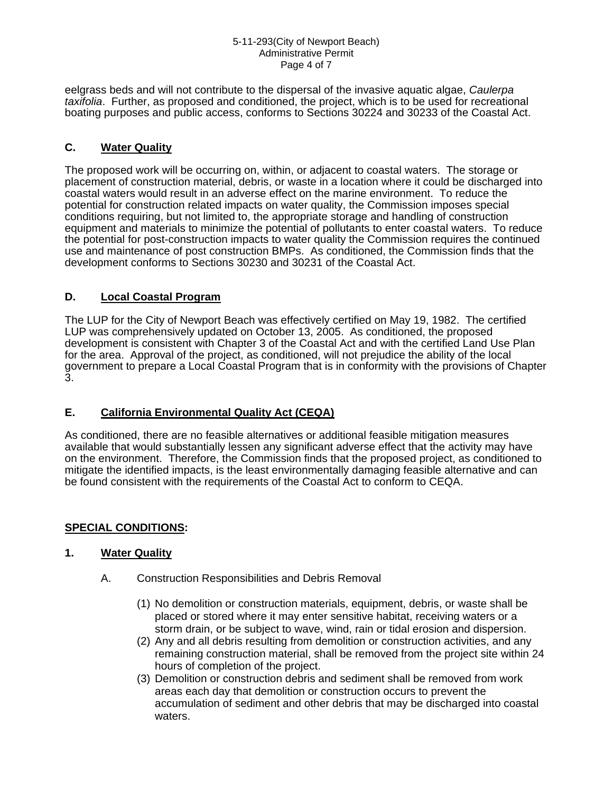#### 5-11-293(City of Newport Beach) Administrative Permit Page 4 of 7

eelgrass beds and will not contribute to the dispersal of the invasive aquatic algae, *Caulerpa taxifolia*. Further, as proposed and conditioned, the project, which is to be used for recreational boating purposes and public access, conforms to Sections 30224 and 30233 of the Coastal Act.

# **C. Water Quality**

The proposed work will be occurring on, within, or adjacent to coastal waters. The storage or placement of construction material, debris, or waste in a location where it could be discharged into coastal waters would result in an adverse effect on the marine environment. To reduce the potential for construction related impacts on water quality, the Commission imposes special conditions requiring, but not limited to, the appropriate storage and handling of construction equipment and materials to minimize the potential of pollutants to enter coastal waters. To reduce the potential for post-construction impacts to water quality the Commission requires the continued use and maintenance of post construction BMPs. As conditioned, the Commission finds that the development conforms to Sections 30230 and 30231 of the Coastal Act.

# **D. Local Coastal Program**

The LUP for the City of Newport Beach was effectively certified on May 19, 1982. The certified LUP was comprehensively updated on October 13, 2005. As conditioned, the proposed development is consistent with Chapter 3 of the Coastal Act and with the certified Land Use Plan for the area. Approval of the project, as conditioned, will not prejudice the ability of the local government to prepare a Local Coastal Program that is in conformity with the provisions of Chapter 3.

# **E. California Environmental Quality Act (CEQA)**

As conditioned, there are no feasible alternatives or additional feasible mitigation measures available that would substantially lessen any significant adverse effect that the activity may have on the environment. Therefore, the Commission finds that the proposed project, as conditioned to mitigate the identified impacts, is the least environmentally damaging feasible alternative and can be found consistent with the requirements of the Coastal Act to conform to CEQA.

# **SPECIAL CONDITIONS:**

# **1. Water Quality**

- A. Construction Responsibilities and Debris Removal
	- (1) No demolition or construction materials, equipment, debris, or waste shall be placed or stored where it may enter sensitive habitat, receiving waters or a storm drain, or be subject to wave, wind, rain or tidal erosion and dispersion.
	- (2) Any and all debris resulting from demolition or construction activities, and any remaining construction material, shall be removed from the project site within 24 hours of completion of the project.
	- (3) Demolition or construction debris and sediment shall be removed from work areas each day that demolition or construction occurs to prevent the accumulation of sediment and other debris that may be discharged into coastal waters.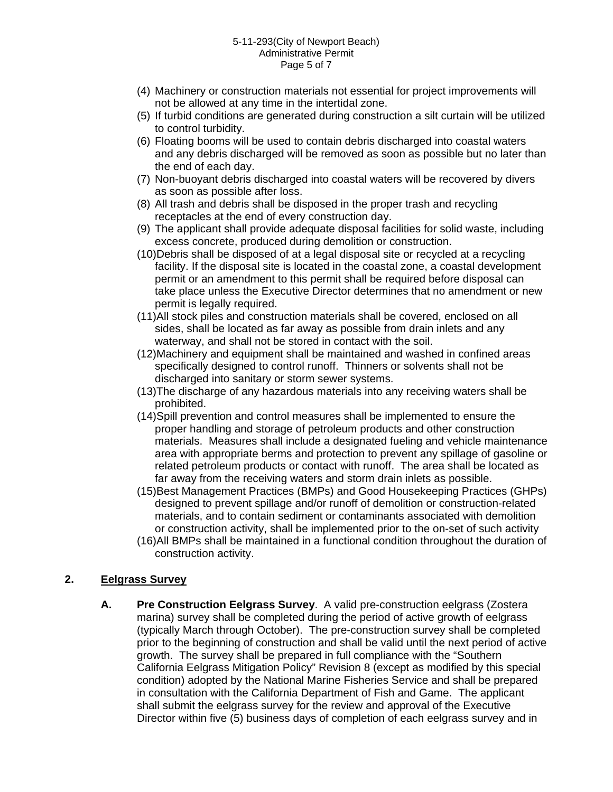- (4) Machinery or construction materials not essential for project improvements will not be allowed at any time in the intertidal zone.
- (5) If turbid conditions are generated during construction a silt curtain will be utilized to control turbidity.
- (6) Floating booms will be used to contain debris discharged into coastal waters and any debris discharged will be removed as soon as possible but no later than the end of each day.
- (7) Non-buoyant debris discharged into coastal waters will be recovered by divers as soon as possible after loss.
- (8) All trash and debris shall be disposed in the proper trash and recycling receptacles at the end of every construction day.
- (9) The applicant shall provide adequate disposal facilities for solid waste, including excess concrete, produced during demolition or construction.
- (10)Debris shall be disposed of at a legal disposal site or recycled at a recycling facility. If the disposal site is located in the coastal zone, a coastal development permit or an amendment to this permit shall be required before disposal can take place unless the Executive Director determines that no amendment or new permit is legally required.
- (11)All stock piles and construction materials shall be covered, enclosed on all sides, shall be located as far away as possible from drain inlets and any waterway, and shall not be stored in contact with the soil.
- (12)Machinery and equipment shall be maintained and washed in confined areas specifically designed to control runoff. Thinners or solvents shall not be discharged into sanitary or storm sewer systems.
- (13)The discharge of any hazardous materials into any receiving waters shall be prohibited.
- (14)Spill prevention and control measures shall be implemented to ensure the proper handling and storage of petroleum products and other construction materials. Measures shall include a designated fueling and vehicle maintenance area with appropriate berms and protection to prevent any spillage of gasoline or related petroleum products or contact with runoff. The area shall be located as far away from the receiving waters and storm drain inlets as possible.
- (15)Best Management Practices (BMPs) and Good Housekeeping Practices (GHPs) designed to prevent spillage and/or runoff of demolition or construction-related materials, and to contain sediment or contaminants associated with demolition or construction activity, shall be implemented prior to the on-set of such activity
- (16)All BMPs shall be maintained in a functional condition throughout the duration of construction activity.

# **2. Eelgrass Survey**

**A. Pre Construction Eelgrass Survey**. A valid pre-construction eelgrass (Zostera marina) survey shall be completed during the period of active growth of eelgrass (typically March through October). The pre-construction survey shall be completed prior to the beginning of construction and shall be valid until the next period of active growth. The survey shall be prepared in full compliance with the "Southern California Eelgrass Mitigation Policy" Revision 8 (except as modified by this special condition) adopted by the National Marine Fisheries Service and shall be prepared in consultation with the California Department of Fish and Game. The applicant shall submit the eelgrass survey for the review and approval of the Executive Director within five (5) business days of completion of each eelgrass survey and in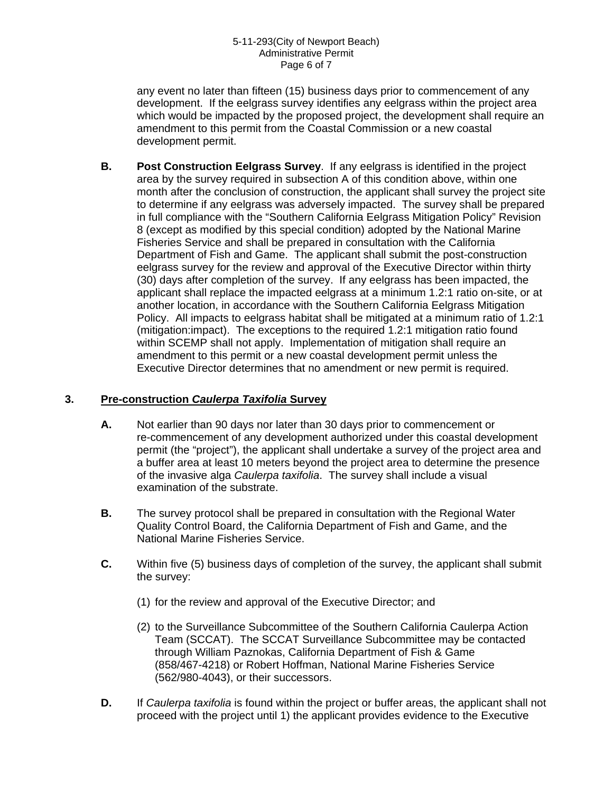any event no later than fifteen (15) business days prior to commencement of any development. If the eelgrass survey identifies any eelgrass within the project area which would be impacted by the proposed project, the development shall require an amendment to this permit from the Coastal Commission or a new coastal development permit.

**B. Post Construction Eelgrass Survey**. If any eelgrass is identified in the project area by the survey required in subsection A of this condition above, within one month after the conclusion of construction, the applicant shall survey the project site to determine if any eelgrass was adversely impacted. The survey shall be prepared in full compliance with the "Southern California Eelgrass Mitigation Policy" Revision 8 (except as modified by this special condition) adopted by the National Marine Fisheries Service and shall be prepared in consultation with the California Department of Fish and Game. The applicant shall submit the post-construction eelgrass survey for the review and approval of the Executive Director within thirty (30) days after completion of the survey. If any eelgrass has been impacted, the applicant shall replace the impacted eelgrass at a minimum 1.2:1 ratio on-site, or at another location, in accordance with the Southern California Eelgrass Mitigation Policy. All impacts to eelgrass habitat shall be mitigated at a minimum ratio of 1.2:1 (mitigation:impact). The exceptions to the required 1.2:1 mitigation ratio found within SCEMP shall not apply. Implementation of mitigation shall require an amendment to this permit or a new coastal development permit unless the Executive Director determines that no amendment or new permit is required.

# **3. Pre-construction** *Caulerpa Taxifolia* **Survey**

- **A.** Not earlier than 90 days nor later than 30 days prior to commencement or re-commencement of any development authorized under this coastal development permit (the "project"), the applicant shall undertake a survey of the project area and a buffer area at least 10 meters beyond the project area to determine the presence of the invasive alga *Caulerpa taxifolia*. The survey shall include a visual examination of the substrate.
- **B.** The survey protocol shall be prepared in consultation with the Regional Water Quality Control Board, the California Department of Fish and Game, and the National Marine Fisheries Service.
- **C.** Within five (5) business days of completion of the survey, the applicant shall submit the survey:
	- (1) for the review and approval of the Executive Director; and
	- (2) to the Surveillance Subcommittee of the Southern California Caulerpa Action Team (SCCAT). The SCCAT Surveillance Subcommittee may be contacted through William Paznokas, California Department of Fish & Game (858/467-4218) or Robert Hoffman, National Marine Fisheries Service (562/980-4043), or their successors.
- **D.** If *Caulerpa taxifolia* is found within the project or buffer areas, the applicant shall not proceed with the project until 1) the applicant provides evidence to the Executive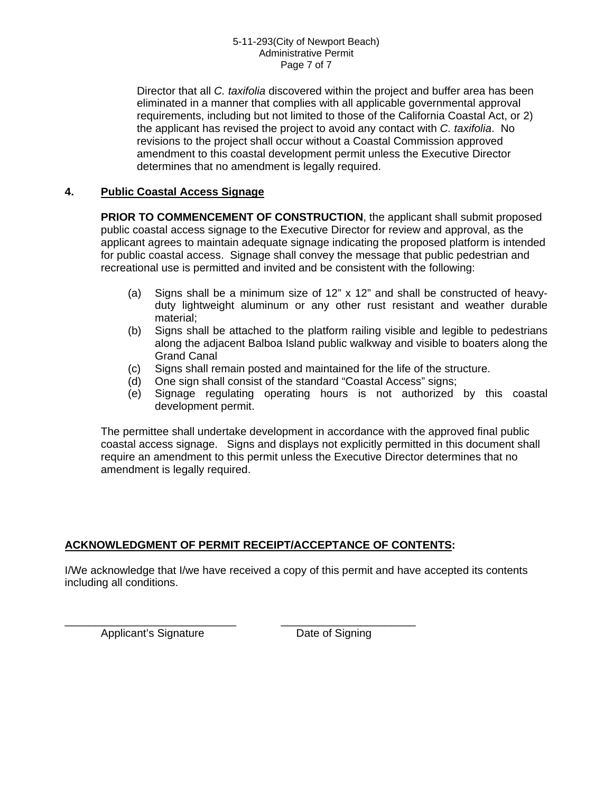Director that all *C. taxifolia* discovered within the project and buffer area has been eliminated in a manner that complies with all applicable governmental approval requirements, including but not limited to those of the California Coastal Act, or 2) the applicant has revised the project to avoid any contact with *C. taxifolia*. No revisions to the project shall occur without a Coastal Commission approved amendment to this coastal development permit unless the Executive Director determines that no amendment is legally required.

# **4. Public Coastal Access Signage**

**PRIOR TO COMMENCEMENT OF CONSTRUCTION**, the applicant shall submit proposed public coastal access signage to the Executive Director for review and approval, as the applicant agrees to maintain adequate signage indicating the proposed platform is intended for public coastal access. Signage shall convey the message that public pedestrian and recreational use is permitted and invited and be consistent with the following:

- (a) Signs shall be a minimum size of  $12" \times 12"$  and shall be constructed of heavyduty lightweight aluminum or any other rust resistant and weather durable material;
- (b) Signs shall be attached to the platform railing visible and legible to pedestrians along the adjacent Balboa Island public walkway and visible to boaters along the Grand Canal
- (c) Signs shall remain posted and maintained for the life of the structure.
- (d) One sign shall consist of the standard "Coastal Access" signs;
- (e) Signage regulating operating hours is not authorized by this coastal development permit.

The permittee shall undertake development in accordance with the approved final public coastal access signage. Signs and displays not explicitly permitted in this document shall require an amendment to this permit unless the Executive Director determines that no amendment is legally required.

# **ACKNOWLEDGMENT OF PERMIT RECEIPT/ACCEPTANCE OF CONTENTS:**

\_\_\_\_\_\_\_\_\_\_\_\_\_\_\_\_\_\_\_\_\_\_\_\_\_\_\_\_ \_\_\_\_\_\_\_\_\_\_\_\_\_\_\_\_\_\_\_\_\_\_

I/We acknowledge that I/we have received a copy of this permit and have accepted its contents including all conditions.

Applicant's Signature **Date of Signing**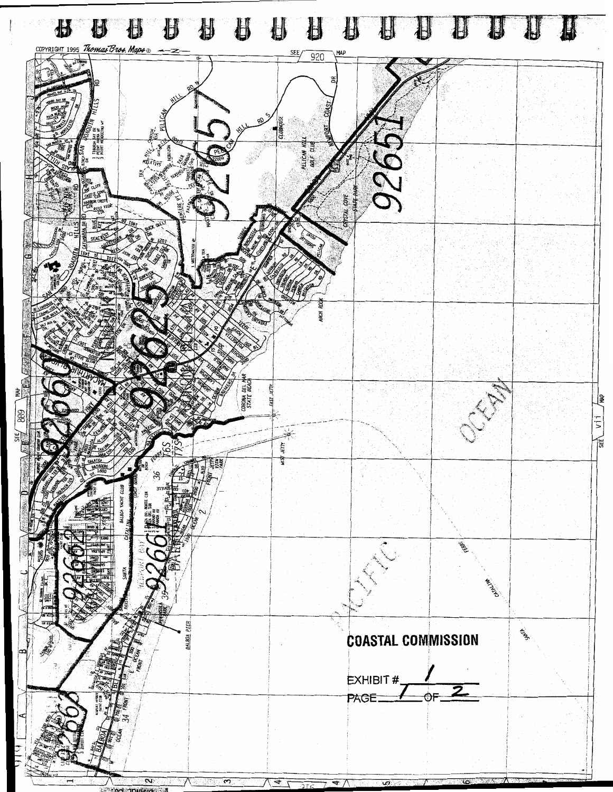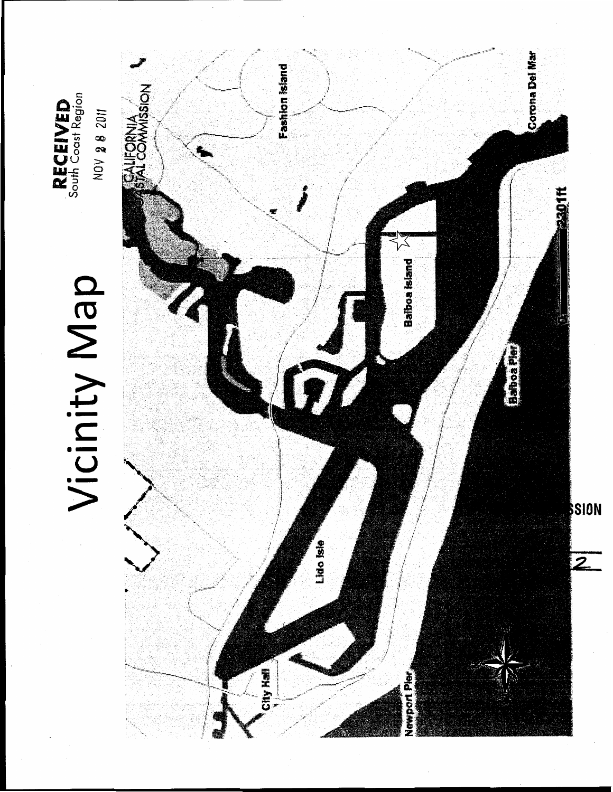

**RECEIVED** 

# Vicinity Map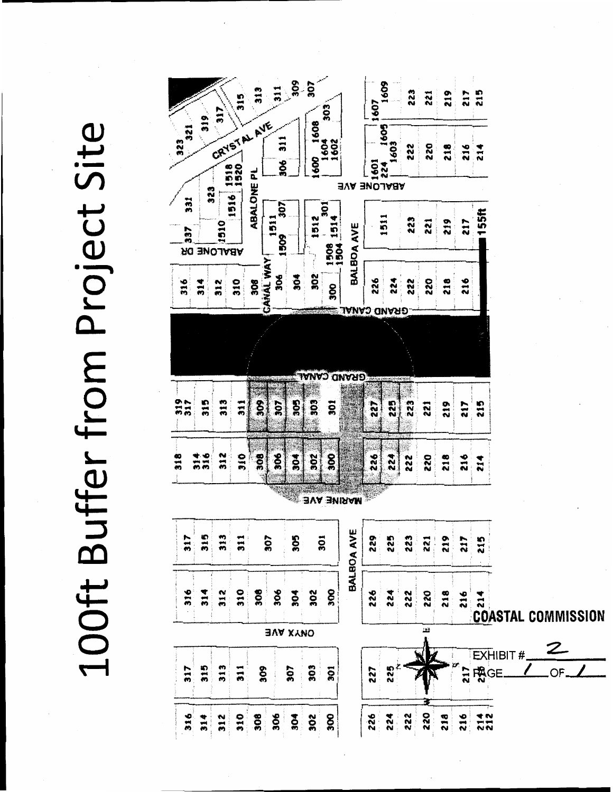100ft Buffer from Project Site

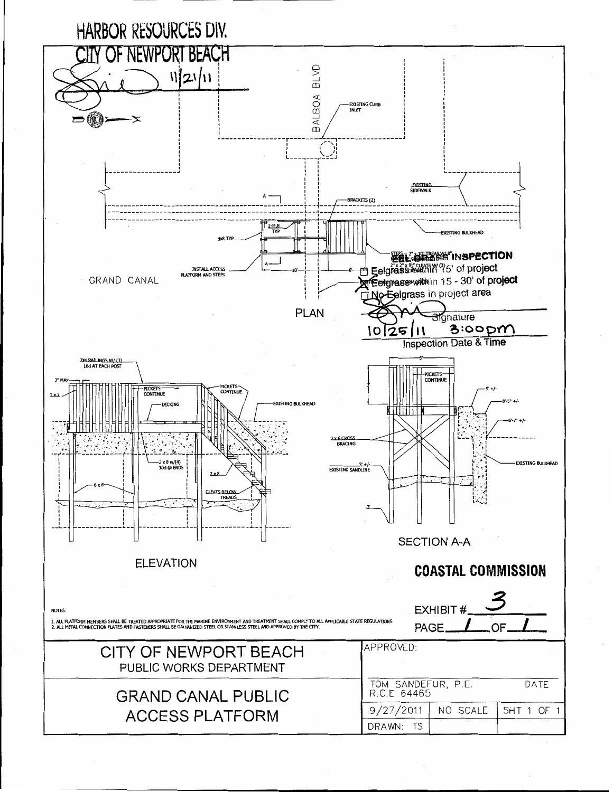